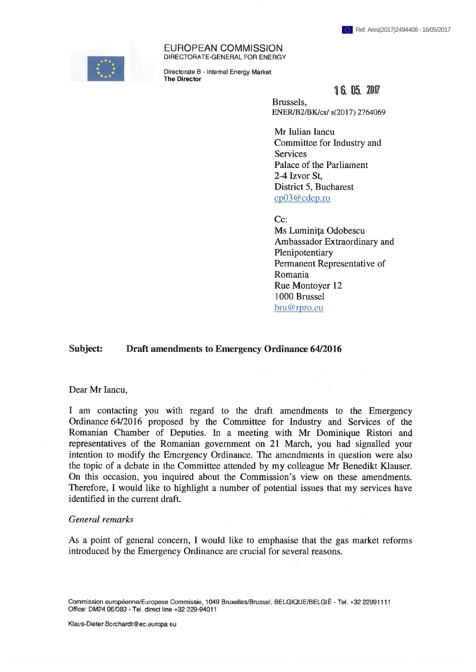

EUROPEAN COMMISSION DIRECTORATE-GENERAL FOR ENERGY

Directorate B · Internal Energy Market The **Director**

# 16 05 200

Brussels, ENER/B2/BK/CS/ s(2017) 2764069

Mr Iulian lancu Committee for Industry and **Services** Palace of the Parliament 2-4 Izvor St, District 5, Bucharest [cp03@cdep.ro](mailto:cp03@cdep.ro)

Cc:

Ms Luminita Odobescu Ambassador Extraordinary and Plenipotentiary Permanent Representative of Romania Rue Montoyer 12 1000 Brussel [bru@rpro.eu](mailto:bru@rpro.eu)

## **Subject: Draft amendments to Emergency Ordinance 64/2016**

#### Dear Mr lancu,

I am contacting you with regard to the draft amendments to the Emergency Ordinance 64/2016 proposed by the Committee for Industry and Services of the Romanian Chamber of Deputies, hi a meeting with Mr Dominique Ristori and representatives of the Romanian government on 21 March, you had signalled your intention to modify the Emergency Ordinance. The amendments in question were also the topic of a debate in the Committee attended by my colleague Mr Benedikt Klauser. On this occasion, you inquired about the Commission's view on these amendments. Therefore, I would like to highlight a number of potential issues that my services have identified in the current draft.

## *General remarks*

As a point of general concern, I would like to emphasise that the gas market reforms introduced by the Emergency Ordinance are crucial for several reasons.

Commission européenne/Eurepese Commissie, 1049 Bmxelles/Brussel, BELGIQUE/BELGIË - Tel. +32 22991111 Office: DM24 06/083 - Tel. direct line +32 229-94011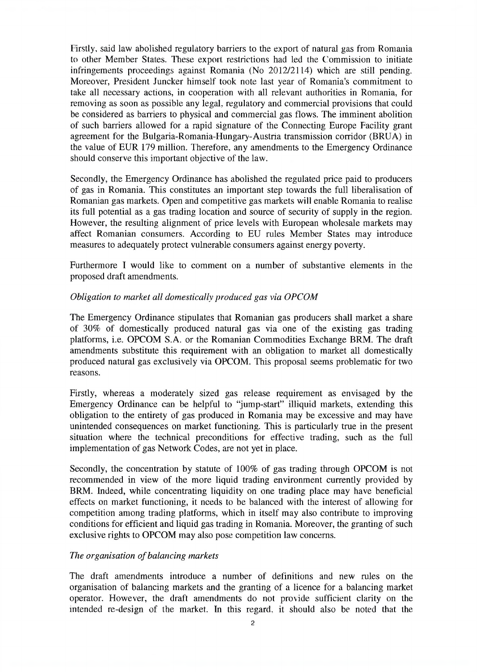Firstly, said law abolished regulatory barriers to the export of natural gas from Romania to other Member States. These export restrictions had led the Commission to initiate infringements proceedings against Romania (No 2012/2114) which are still pending. Moreover, President Juncker himself took note last year of Romania's commitment to take all necessary actions, in cooperation with all relevant authorities in Romania, for removing as soon as possible any legal, regulatory and commercial provisions that could be considered as barriers to physical and commercial gas flows. The imminent abolition of such barriers allowed for a rapid signature of the Connecting Europe Facility grant agreement for the Bulgaria-Romania-Hungary-Austria transmission corridor (BRUA) in the value of EUR 179 million. Therefore, any amendments to the Emergency Ordinance should conserve this important objective of the law.

Secondly, the Emergency Ordinance has abolished the regulated price paid to producers of gas in Romania. This constitutes an important step towards the full liberalisation of Romanian gas markets. Open and competitive gas markets will enable Romania to realise its full potential as a gas trading location and source of security of supply in the region. However, the resulting alignment of price levels with European wholesale markets may affect Romanian consumers. According to EU rules Member States may introduce measures to adequately protect vulnerable consumers against energy poverty.

Furthermore I would like to comment on a number of substantive elements in the proposed draft amendments.

# *Obligation to market all domestically produced gas via OPCOM*

The Emergency Ordinance stipulates that Romanian gas producers shall market a share of 30% of domestically produced natural gas via one of the existing gas trading platforms, i.e. OPCOM S.A. or the Romanian Commodities Exchange BRM. The draft amendments substitute this requirement with an obligation to market all domestically produced natural gas exclusively via OPCOM. This proposal seems problematic for two reasons.

Firstly, whereas a moderately sized gas release requirement as envisaged by the Emergency Ordinance can be helpful to "jump-start" illiquid markets, extending this obligation to the entirety of gas produced in Romania may be excessive and may have unintended consequences on market functioning. This is particularly true in the present situation where the technical preconditions for effective trading, such as the full implementation of gas Network Codes, are not yet in place.

Secondly, the concentration by statute of 100% of gas trading through OPCOM is not recommended in view of the more liquid trading environment currently provided by BRM. Indeed, while concentrating liquidity on one trading place may have beneficial effects on market functioning, it needs to be balanced with the interest of allowing for competition among trading platforms, which in itself may also contribute to improving conditions for efficient and liquid gas trading in Romania. Moreover, the granting of such exclusive rights to OPCOM may also pose competition law concerns.

# *The organisation ofbalancing markets*

The draft amendments introduce a number of definitions and new rules on the organisation of balancing markets and the granting of a licence for a balancing market operator. However, the draft amendments do not provide sufficient clarity on the intended re-design of the market. In this regard, it should also be noted that the